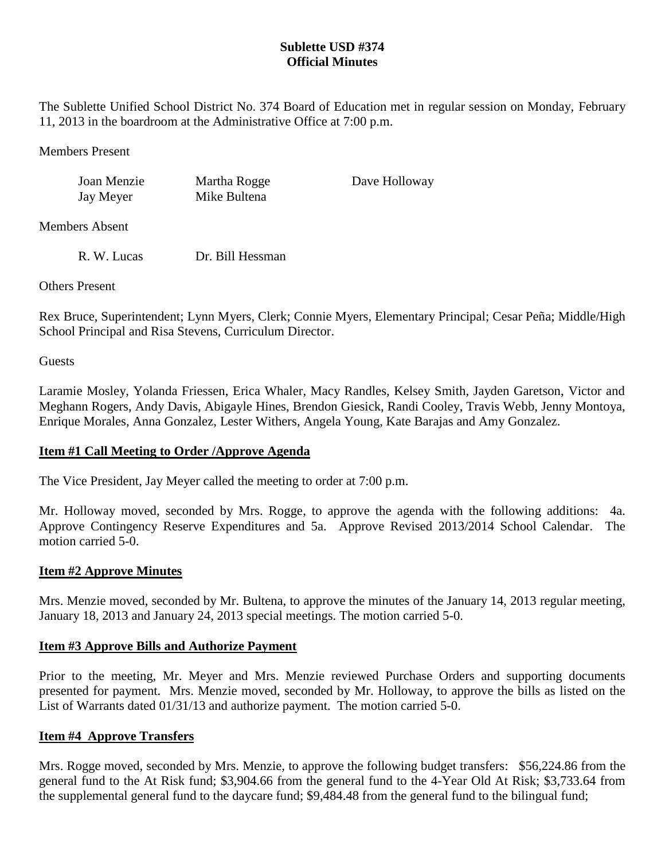# **Sublette USD #374 Official Minutes**

The Sublette Unified School District No. 374 Board of Education met in regular session on Monday, February 11, 2013 in the boardroom at the Administrative Office at 7:00 p.m.

Members Present

Joan Menzie Martha Rogge Dave Holloway Jay Meyer Mike Bultena

Members Absent

R. W. Lucas Dr. Bill Hessman

Others Present

Rex Bruce, Superintendent; Lynn Myers, Clerk; Connie Myers, Elementary Principal; Cesar Peña; Middle/High School Principal and Risa Stevens, Curriculum Director.

**Guests** 

Laramie Mosley, Yolanda Friessen, Erica Whaler, Macy Randles, Kelsey Smith, Jayden Garetson, Victor and Meghann Rogers, Andy Davis, Abigayle Hines, Brendon Giesick, Randi Cooley, Travis Webb, Jenny Montoya, Enrique Morales, Anna Gonzalez, Lester Withers, Angela Young, Kate Barajas and Amy Gonzalez.

#### **Item #1 Call Meeting to Order /Approve Agenda**

The Vice President, Jay Meyer called the meeting to order at 7:00 p.m.

Mr. Holloway moved, seconded by Mrs. Rogge, to approve the agenda with the following additions: 4a. Approve Contingency Reserve Expenditures and 5a. Approve Revised 2013/2014 School Calendar. The motion carried 5-0.

#### **Item #2 Approve Minutes**

Mrs. Menzie moved, seconded by Mr. Bultena, to approve the minutes of the January 14, 2013 regular meeting, January 18, 2013 and January 24, 2013 special meetings. The motion carried 5-0.

#### **Item #3 Approve Bills and Authorize Payment**

Prior to the meeting, Mr. Meyer and Mrs. Menzie reviewed Purchase Orders and supporting documents presented for payment. Mrs. Menzie moved, seconded by Mr. Holloway, to approve the bills as listed on the List of Warrants dated 01/31/13 and authorize payment. The motion carried 5-0.

#### **Item #4 Approve Transfers**

Mrs. Rogge moved, seconded by Mrs. Menzie, to approve the following budget transfers: \$56,224.86 from the general fund to the At Risk fund; \$3,904.66 from the general fund to the 4-Year Old At Risk; \$3,733.64 from the supplemental general fund to the daycare fund; \$9,484.48 from the general fund to the bilingual fund;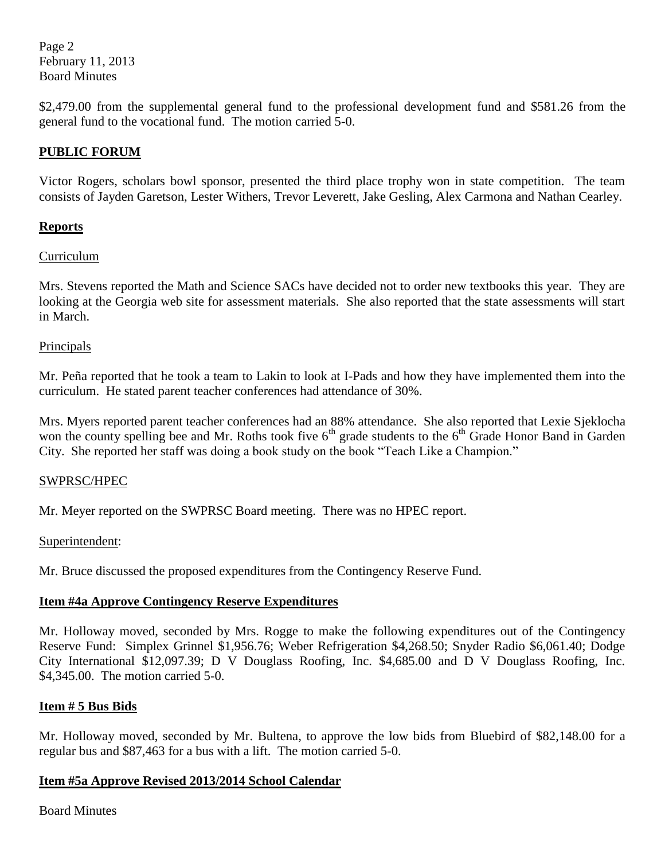Page 2 February 11, 2013 Board Minutes

\$2,479.00 from the supplemental general fund to the professional development fund and \$581.26 from the general fund to the vocational fund. The motion carried 5-0.

# **PUBLIC FORUM**

Victor Rogers, scholars bowl sponsor, presented the third place trophy won in state competition. The team consists of Jayden Garetson, Lester Withers, Trevor Leverett, Jake Gesling, Alex Carmona and Nathan Cearley.

### **Reports**

### Curriculum

Mrs. Stevens reported the Math and Science SACs have decided not to order new textbooks this year. They are looking at the Georgia web site for assessment materials. She also reported that the state assessments will start in March.

#### Principals

Mr. Peña reported that he took a team to Lakin to look at I-Pads and how they have implemented them into the curriculum. He stated parent teacher conferences had attendance of 30%.

Mrs. Myers reported parent teacher conferences had an 88% attendance. She also reported that Lexie Sjeklocha won the county spelling bee and Mr. Roths took five  $6<sup>th</sup>$  grade students to the  $6<sup>th</sup>$  Grade Honor Band in Garden City. She reported her staff was doing a book study on the book "Teach Like a Champion."

#### SWPRSC/HPEC

Mr. Meyer reported on the SWPRSC Board meeting. There was no HPEC report.

#### Superintendent:

Mr. Bruce discussed the proposed expenditures from the Contingency Reserve Fund.

#### **Item #4a Approve Contingency Reserve Expenditures**

Mr. Holloway moved, seconded by Mrs. Rogge to make the following expenditures out of the Contingency Reserve Fund: Simplex Grinnel \$1,956.76; Weber Refrigeration \$4,268.50; Snyder Radio \$6,061.40; Dodge City International \$12,097.39; D V Douglass Roofing, Inc. \$4,685.00 and D V Douglass Roofing, Inc. \$4,345.00. The motion carried 5-0.

#### **Item # 5 Bus Bids**

Mr. Holloway moved, seconded by Mr. Bultena, to approve the low bids from Bluebird of \$82,148.00 for a regular bus and \$87,463 for a bus with a lift. The motion carried 5-0.

#### **Item #5a Approve Revised 2013/2014 School Calendar**

Board Minutes